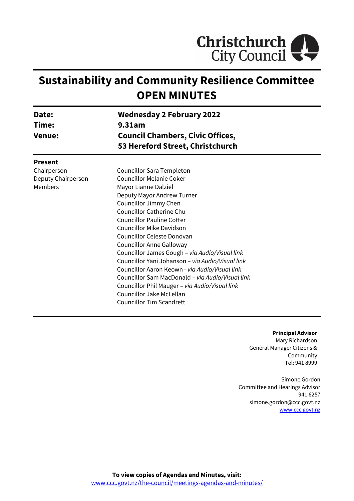

# **Sustainability and Community Resilience Committee OPEN MINUTES**

| Date:<br>Time:<br><b>Venue:</b> | <b>Wednesday 2 February 2022</b><br>9.31am<br><b>Council Chambers, Civic Offices,</b><br>53 Hereford Street, Christchurch |  |
|---------------------------------|---------------------------------------------------------------------------------------------------------------------------|--|
| <b>Present</b><br>Chairperson   | Councillor Sara Templeton                                                                                                 |  |
| Deputy Chairperson              | <b>Councillor Melanie Coker</b>                                                                                           |  |
| Members                         | Mayor Lianne Dalziel                                                                                                      |  |
|                                 | Deputy Mayor Andrew Turner                                                                                                |  |
|                                 | Councillor Jimmy Chen                                                                                                     |  |
|                                 | Councillor Catherine Chu                                                                                                  |  |
|                                 | <b>Councillor Pauline Cotter</b>                                                                                          |  |
|                                 | <b>Councillor Mike Davidson</b>                                                                                           |  |
|                                 | Councillor Celeste Donovan                                                                                                |  |
|                                 | <b>Councillor Anne Galloway</b>                                                                                           |  |
|                                 | Councillor James Gough - via Audio/Visual link                                                                            |  |
|                                 | Councillor Yani Johanson - via Audio/Visual link                                                                          |  |
|                                 | Councillor Aaron Keown - via Audio/Visual link                                                                            |  |
|                                 | Councillor Sam MacDonald - via Audio/Visual link                                                                          |  |
|                                 | Councillor Phil Mauger - via Audio/Visual link                                                                            |  |
|                                 | Councillor Jake McLellan                                                                                                  |  |
|                                 | <b>Councillor Tim Scandrett</b>                                                                                           |  |

**Principal Advisor** Mary Richardson General Manager Citizens & Community Tel: 941 8999

Simone Gordon Committee and Hearings Advisor 941 6257 simone.gordon@ccc.govt.nz [www.ccc.govt.nz](http://www.ccc.govt.nz/)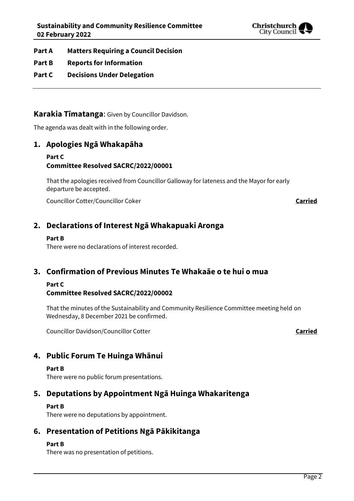

- **Part A Matters Requiring a Council Decision**
- **Part B Reports for Information**
- **Part C Decisions Under Delegation**

#### **Karakia Tīmatanga**: Given by Councillor Davidson.

The agenda was dealt with in the following order.

#### **1. Apologies Ngā Whakapāha**

#### **Part C Committee Resolved SACRC/2022/00001**

That the apologies received from Councillor Galloway for lateness and the Mayor for early departure be accepted.

Councillor Cotter/Councillor Coker **Carried**

## **2. Declarations of Interest Ngā Whakapuaki Aronga**

#### **Part B**

There were no declarations of interest recorded.

### **3. Confirmation of Previous Minutes Te Whakaāe o te hui o mua**

## **Part C**

#### **Committee Resolved SACRC/2022/00002**

That the minutes of the Sustainability and Community Resilience Committee meeting held on Wednesday, 8 December 2021 be confirmed.

Councillor Davidson/Councillor Cotter **Carried**

## **4. Public Forum Te Huinga Whānui**

#### **Part B**

There were no public forum presentations.

## **5. Deputations by Appointment Ngā Huinga Whakaritenga**

#### **Part B**

There were no deputations by appointment.

## **6. Presentation of Petitions Ngā Pākikitanga**

#### **Part B**

There was no presentation of petitions.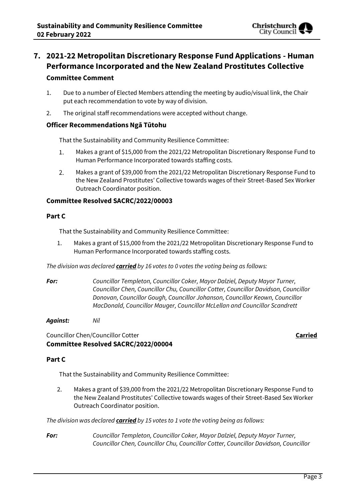

## **7. 2021-22 Metropolitan Discretionary Response Fund Applications - Human Performance Incorporated and the New Zealand Prostitutes Collective Committee Comment**

- 1. Due to a number of Elected Members attending the meeting by audio/visual link, the Chair put each recommendation to vote by way of division.
- 2. The original staff recommendations were accepted without change.

#### **Officer Recommendations Ngā Tūtohu**

That the Sustainability and Community Resilience Committee:

- 1. Makes a grant of \$15,000 from the 2021/22 Metropolitan Discretionary Response Fund to Human Performance Incorporated towards staffing costs.
- $2.$ Makes a grant of \$39,000 from the 2021/22 Metropolitan Discretionary Response Fund to the New Zealand Prostitutes' Collective towards wages of their Street-Based Sex Worker Outreach Coordinator position.

#### **Committee Resolved SACRC/2022/00003**

#### **Part C**

That the Sustainability and Community Resilience Committee:

1. Makes a grant of \$15,000 from the 2021/22 Metropolitan Discretionary Response Fund to Human Performance Incorporated towards staffing costs.

*The division was declared carried by 16 votes to 0 votes the voting being as follows:*

*For: Councillor Templeton, Councillor Coker, Mayor Dalziel, Deputy Mayor Turner, Councillor Chen, Councillor Chu, Councillor Cotter, Councillor Davidson, Councillor Donovan, Councillor Gough, Councillor Johanson, Councillor Keown, Councillor MacDonald, Councillor Mauger, Councillor McLellan and Councillor Scandrett*

*Against: Nil*

Councillor Chen/Councillor Cotter **Carried Committee Resolved SACRC/2022/00004**

#### **Part C**

That the Sustainability and Community Resilience Committee:

2. Makes a grant of \$39,000 from the 2021/22 Metropolitan Discretionary Response Fund to the New Zealand Prostitutes' Collective towards wages of their Street-Based Sex Worker Outreach Coordinator position.

*The division was declared carried by 15 votes to 1 vote the voting being as follows:*

*For: Councillor Templeton, Councillor Coker, Mayor Dalziel, Deputy Mayor Turner, Councillor Chen, Councillor Chu, Councillor Cotter, Councillor Davidson, Councillor*